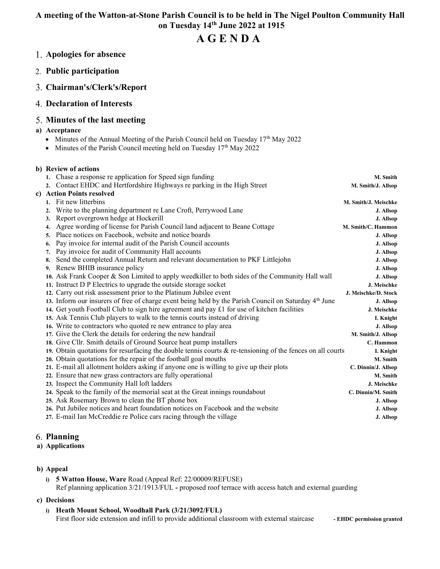# A meeting of the Watton-at-Stone Parish Council is to be held in The Nigel Poulton Community Hall on Tuesday 14th June 2022 at 1915

# A G E N D A

- Apologies for absence
- 2. Public participation
- Chairman's/Clerk's/Report
- Declaration of Interests

## Minutes of the last meeting

## a) Acceptance

- Minutes of the Annual Meeting of the Parish Council held on Tuesday 17<sup>th</sup> May 2022
- $\bullet$  Minutes of the Parish Council meeting held on Tuesday 17<sup>th</sup> May 2022

### b) Review of actions

|    | 1. Chase a response re application for Speed sign funding                                                         | M. Smith             |
|----|-------------------------------------------------------------------------------------------------------------------|----------------------|
|    | 2. Contact EHDC and Hertfordshire Highways re parking in the High Street                                          | M. Smith/J. Allsop   |
|    | c) Action Points resolved                                                                                         |                      |
|    | Fit new litterbins                                                                                                | M. Smith/J. Meischke |
| 2. | Write to the planning department re Lane Croft, Perrywood Lane                                                    | J. Allsop            |
| 3. | Report overgrown hedge at Hockerill                                                                               | J. Allsop            |
| 4. | Agree wording of license for Parish Council land adjacent to Beane Cottage                                        | M. Smith/C. Hammon   |
| 5. | Place notices on Facebook, website and notice boards                                                              | J. Allsop            |
| 6. | Pay invoice for internal audit of the Parish Council accounts                                                     | J. Allsop            |
| 7. | Pay invoice for audit of Community Hall accounts                                                                  | J. Allsop            |
| 8. | Send the completed Annual Return and relevant documentation to PKF Littlejohn                                     | J. Allsop            |
| 9. | Renew BHIB insurance policy                                                                                       | J. Allsop            |
|    | 10. Ask Frank Cooper & Son Limited to apply weedkiller to both sides of the Community Hall wall                   | J. Allsop            |
|    | 11. Instruct D P Electrics to upgrade the outside storage socket                                                  | J. Meischke          |
|    | 12. Carry out risk assessment prior to the Platinum Jubilee event                                                 | J. Meischke/D. Stock |
|    | 13. Inform our insurers of free of charge event being held by the Parish Council on Saturday 4 <sup>th</sup> June | J. Allsop            |
|    | 14. Get youth Football Club to sign hire agreement and pay $\pounds 1$ for use of kitchen facilities              | J. Meischke          |
|    | 15. Ask Tennis Club players to walk to the tennis courts instead of driving                                       | I. Knight            |
|    | 16. Write to contractors who quoted re new entrance to play area                                                  | J. Allsop            |
|    | 17. Give the Clerk the details for ordering the new handrail                                                      | M. Smith/J. Allsop   |
|    | 18. Give Cllr. Smith details of Ground Source heat pump installers                                                | C. Hammon            |
|    | 19. Obtain quotations for resurfacing the double tennis courts $\&$ re-tensioning of the fences on all courts     | I. Knight            |
|    | 20. Obtain quotations for the repair of the football goal mouths                                                  | M. Smith             |
|    | 21. E-mail all allotment holders asking if anyone one is willing to give up their plots                           | C. Dinnin/J. Allsop  |
|    | 22. Ensure that new grass contractors are fully operational                                                       | M. Smith             |
|    | 23. Inspect the Community Hall loft ladders                                                                       | J. Meischke          |
|    | 24. Speak to the family of the memorial seat at the Great innings roundabout                                      | C. Dinnin/M. Smith   |
|    | 25. Ask Rosemary Brown to clean the BT phone box                                                                  | J. Allsop            |
|    | 26. Put Jubilee notices and heart foundation notices on Facebook and the website                                  | J. Allsop            |
|    | 27. E-mail Ian McCreddie re Police cars racing through the village                                                | J. Allsop            |
|    |                                                                                                                   |                      |

## Planning

#### a) Applications

## b) Appeal

i) 5 Watton House, Ware Road (Appeal Ref: 22/00009/REFUSE) Ref planning application 3/21/1913/FUL - proposed roof terrace with access hatch and external guarding

#### c) Decisions

i) Heath Mount School, Woodhall Park (3/21/3092/FUL) First floor side extension and infill to provide additional classroom with external staircase - EHDC permission granted